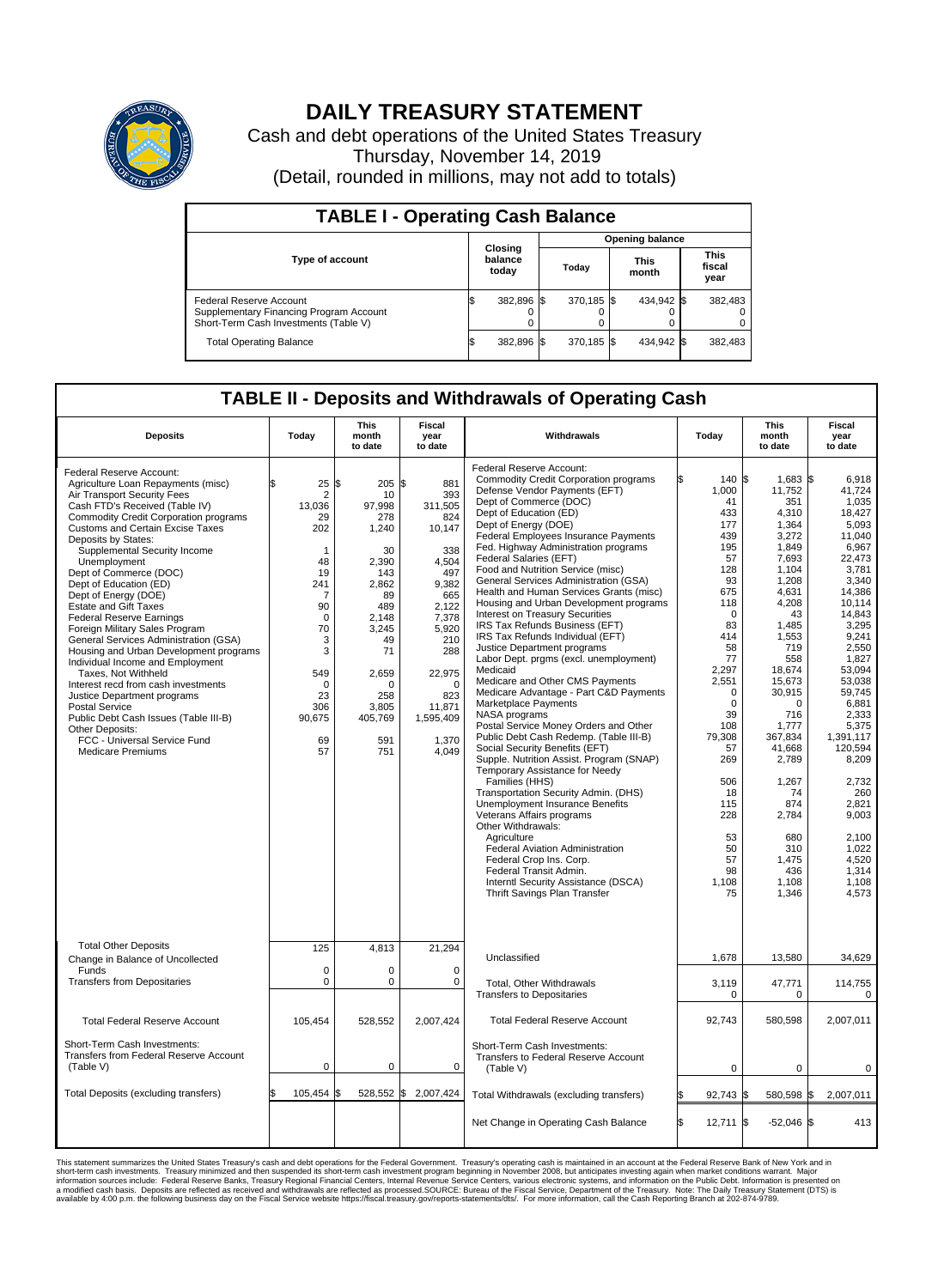

## **DAILY TREASURY STATEMENT**

Cash and debt operations of the United States Treasury Thursday, November 14, 2019 (Detail, rounded in millions, may not add to totals)

| <b>TABLE I - Operating Cash Balance</b>                                                                     |     |                             |  |                        |  |                      |  |                               |  |  |  |
|-------------------------------------------------------------------------------------------------------------|-----|-----------------------------|--|------------------------|--|----------------------|--|-------------------------------|--|--|--|
|                                                                                                             |     | Closing<br>balance<br>today |  | <b>Opening balance</b> |  |                      |  |                               |  |  |  |
| <b>Type of account</b>                                                                                      |     |                             |  | Today                  |  | <b>This</b><br>month |  | <b>This</b><br>fiscal<br>year |  |  |  |
| Federal Reserve Account<br>Supplementary Financing Program Account<br>Short-Term Cash Investments (Table V) |     | 382,896 \$                  |  | 370.185 \$             |  | 434,942 \$           |  | 382,483                       |  |  |  |
| <b>Total Operating Balance</b>                                                                              | I\$ | 382,896 \$                  |  | 370,185 \$             |  | 434,942 \$           |  | 382,483                       |  |  |  |

## **TABLE II - Deposits and Withdrawals of Operating Cash**

| <b>Deposits</b>                                                                                                                                                                                                                                                                                                                                                                                                                                                                                                                                                                                                                                                                                                                                                                                                                                         | Today                                                                                                                                                              | <b>This</b><br>month<br>to date                                                                                                                                                  | <b>Fiscal</b><br>year<br>to date                                                                                                                                                                | Withdrawals                                                                                                                                                                                                                                                                                                                                                                                                                                                                                                                                                                                                                                                                                                                                                                                                                                                                                                                                                                                                                                                                                                                                                                                                                                                                                                                    | Today                                                                                                                                                                                                                                                               | <b>This</b><br>month<br>to date                                                                                                                                                                                                                                                                                                   | <b>Fiscal</b><br>year<br>to date                                                                                                                                                                                                                                                                                                               |
|---------------------------------------------------------------------------------------------------------------------------------------------------------------------------------------------------------------------------------------------------------------------------------------------------------------------------------------------------------------------------------------------------------------------------------------------------------------------------------------------------------------------------------------------------------------------------------------------------------------------------------------------------------------------------------------------------------------------------------------------------------------------------------------------------------------------------------------------------------|--------------------------------------------------------------------------------------------------------------------------------------------------------------------|----------------------------------------------------------------------------------------------------------------------------------------------------------------------------------|-------------------------------------------------------------------------------------------------------------------------------------------------------------------------------------------------|--------------------------------------------------------------------------------------------------------------------------------------------------------------------------------------------------------------------------------------------------------------------------------------------------------------------------------------------------------------------------------------------------------------------------------------------------------------------------------------------------------------------------------------------------------------------------------------------------------------------------------------------------------------------------------------------------------------------------------------------------------------------------------------------------------------------------------------------------------------------------------------------------------------------------------------------------------------------------------------------------------------------------------------------------------------------------------------------------------------------------------------------------------------------------------------------------------------------------------------------------------------------------------------------------------------------------------|---------------------------------------------------------------------------------------------------------------------------------------------------------------------------------------------------------------------------------------------------------------------|-----------------------------------------------------------------------------------------------------------------------------------------------------------------------------------------------------------------------------------------------------------------------------------------------------------------------------------|------------------------------------------------------------------------------------------------------------------------------------------------------------------------------------------------------------------------------------------------------------------------------------------------------------------------------------------------|
| Federal Reserve Account:<br>Agriculture Loan Repayments (misc)<br>Air Transport Security Fees<br>Cash FTD's Received (Table IV)<br><b>Commodity Credit Corporation programs</b><br><b>Customs and Certain Excise Taxes</b><br>Deposits by States:<br>Supplemental Security Income<br>Unemployment<br>Dept of Commerce (DOC)<br>Dept of Education (ED)<br>Dept of Energy (DOE)<br><b>Estate and Gift Taxes</b><br><b>Federal Reserve Earnings</b><br>Foreign Military Sales Program<br>General Services Administration (GSA)<br>Housing and Urban Development programs<br>Individual Income and Employment<br>Taxes. Not Withheld<br>Interest recd from cash investments<br>Justice Department programs<br><b>Postal Service</b><br>Public Debt Cash Issues (Table III-B)<br>Other Deposits:<br>FCC - Universal Service Fund<br><b>Medicare Premiums</b> | \$<br>25<br>$\overline{2}$<br>13,036<br>29<br>202<br>1<br>48<br>19<br>241<br>7<br>90<br>$\mathbf 0$<br>70<br>3<br>3<br>549<br>0<br>23<br>306<br>90,675<br>69<br>57 | $205$ \$<br>l\$<br>10<br>97,998<br>278<br>1,240<br>30<br>2,390<br>143<br>2,862<br>89<br>489<br>2,148<br>3.245<br>49<br>71<br>2,659<br>0<br>258<br>3,805<br>405,769<br>591<br>751 | 881<br>393<br>311,505<br>824<br>10,147<br>338<br>4,504<br>497<br>9,382<br>665<br>2.122<br>7,378<br>5,920<br>210<br>288<br>22,975<br>$\mathbf 0$<br>823<br>11,871<br>1,595,409<br>1,370<br>4,049 | Federal Reserve Account:<br><b>Commodity Credit Corporation programs</b><br>Defense Vendor Payments (EFT)<br>Dept of Commerce (DOC)<br>Dept of Education (ED)<br>Dept of Energy (DOE)<br><b>Federal Employees Insurance Payments</b><br>Fed. Highway Administration programs<br>Federal Salaries (EFT)<br>Food and Nutrition Service (misc)<br>General Services Administration (GSA)<br>Health and Human Services Grants (misc)<br>Housing and Urban Development programs<br>Interest on Treasury Securities<br>IRS Tax Refunds Business (EFT)<br>IRS Tax Refunds Individual (EFT)<br>Justice Department programs<br>Labor Dept. prgms (excl. unemployment)<br>Medicaid<br>Medicare and Other CMS Payments<br>Medicare Advantage - Part C&D Payments<br>Marketplace Payments<br>NASA programs<br>Postal Service Money Orders and Other<br>Public Debt Cash Redemp. (Table III-B)<br>Social Security Benefits (EFT)<br>Supple. Nutrition Assist. Program (SNAP)<br>Temporary Assistance for Needy<br>Families (HHS)<br>Transportation Security Admin. (DHS)<br>Unemployment Insurance Benefits<br>Veterans Affairs programs<br>Other Withdrawals:<br>Agriculture<br>Federal Aviation Administration<br>Federal Crop Ins. Corp.<br>Federal Transit Admin.<br>Interntl Security Assistance (DSCA)<br>Thrift Savings Plan Transfer | 140 \$<br>1,000<br>41<br>433<br>177<br>439<br>195<br>57<br>128<br>93<br>675<br>118<br>$\mathbf 0$<br>83<br>414<br>58<br>77<br>2,297<br>2,551<br>0<br>$\Omega$<br>39<br>108<br>79,308<br>57<br>269<br>506<br>18<br>115<br>228<br>53<br>50<br>57<br>98<br>1,108<br>75 | $1.683$ $\vert$ \$<br>11,752<br>351<br>4.310<br>1,364<br>3,272<br>1,849<br>7,693<br>1,104<br>1,208<br>4,631<br>4,208<br>43<br>1,485<br>1,553<br>719<br>558<br>18,674<br>15,673<br>30,915<br>$\Omega$<br>716<br>1.777<br>367,834<br>41,668<br>2,789<br>1,267<br>74<br>874<br>2,784<br>680<br>310<br>1.475<br>436<br>1,108<br>1,346 | 6.918<br>41,724<br>1,035<br>18.427<br>5,093<br>11.040<br>6,967<br>22,473<br>3,781<br>3.340<br>14,386<br>10,114<br>14.843<br>3,295<br>9,241<br>2,550<br>1,827<br>53,094<br>53.038<br>59,745<br>6,881<br>2,333<br>5.375<br>1,391,117<br>120,594<br>8,209<br>2,732<br>260<br>2,821<br>9,003<br>2,100<br>1,022<br>4.520<br>1,314<br>1,108<br>4,573 |
| <b>Total Other Deposits</b>                                                                                                                                                                                                                                                                                                                                                                                                                                                                                                                                                                                                                                                                                                                                                                                                                             | 125                                                                                                                                                                | 4,813                                                                                                                                                                            | 21,294                                                                                                                                                                                          | Unclassified                                                                                                                                                                                                                                                                                                                                                                                                                                                                                                                                                                                                                                                                                                                                                                                                                                                                                                                                                                                                                                                                                                                                                                                                                                                                                                                   | 1,678                                                                                                                                                                                                                                                               |                                                                                                                                                                                                                                                                                                                                   | 34,629                                                                                                                                                                                                                                                                                                                                         |
| Change in Balance of Uncollected<br>Funds                                                                                                                                                                                                                                                                                                                                                                                                                                                                                                                                                                                                                                                                                                                                                                                                               | $\mathbf 0$                                                                                                                                                        | $\Omega$                                                                                                                                                                         | $\Omega$                                                                                                                                                                                        |                                                                                                                                                                                                                                                                                                                                                                                                                                                                                                                                                                                                                                                                                                                                                                                                                                                                                                                                                                                                                                                                                                                                                                                                                                                                                                                                |                                                                                                                                                                                                                                                                     | 13,580                                                                                                                                                                                                                                                                                                                            |                                                                                                                                                                                                                                                                                                                                                |
| <b>Transfers from Depositaries</b>                                                                                                                                                                                                                                                                                                                                                                                                                                                                                                                                                                                                                                                                                                                                                                                                                      | 0                                                                                                                                                                  | 0                                                                                                                                                                                | $\mathbf 0$                                                                                                                                                                                     | Total, Other Withdrawals<br><b>Transfers to Depositaries</b>                                                                                                                                                                                                                                                                                                                                                                                                                                                                                                                                                                                                                                                                                                                                                                                                                                                                                                                                                                                                                                                                                                                                                                                                                                                                   | 3,119<br>$\mathbf 0$                                                                                                                                                                                                                                                | 47,771<br>$\mathbf 0$                                                                                                                                                                                                                                                                                                             | 114,755<br>$\mathbf 0$                                                                                                                                                                                                                                                                                                                         |
| <b>Total Federal Reserve Account</b>                                                                                                                                                                                                                                                                                                                                                                                                                                                                                                                                                                                                                                                                                                                                                                                                                    | 105,454                                                                                                                                                            | 528,552                                                                                                                                                                          | 2,007,424                                                                                                                                                                                       | <b>Total Federal Reserve Account</b>                                                                                                                                                                                                                                                                                                                                                                                                                                                                                                                                                                                                                                                                                                                                                                                                                                                                                                                                                                                                                                                                                                                                                                                                                                                                                           | 92.743                                                                                                                                                                                                                                                              | 580.598                                                                                                                                                                                                                                                                                                                           | 2,007,011                                                                                                                                                                                                                                                                                                                                      |
| Short-Term Cash Investments:<br>Transfers from Federal Reserve Account<br>(Table V)                                                                                                                                                                                                                                                                                                                                                                                                                                                                                                                                                                                                                                                                                                                                                                     | 0                                                                                                                                                                  | 0                                                                                                                                                                                | 0                                                                                                                                                                                               | Short-Term Cash Investments:<br>Transfers to Federal Reserve Account<br>(Table V)                                                                                                                                                                                                                                                                                                                                                                                                                                                                                                                                                                                                                                                                                                                                                                                                                                                                                                                                                                                                                                                                                                                                                                                                                                              | $\mathbf 0$                                                                                                                                                                                                                                                         | 0                                                                                                                                                                                                                                                                                                                                 | $\mathbf 0$                                                                                                                                                                                                                                                                                                                                    |
| Total Deposits (excluding transfers)                                                                                                                                                                                                                                                                                                                                                                                                                                                                                                                                                                                                                                                                                                                                                                                                                    | 105,454 \$                                                                                                                                                         | 528,552 \$                                                                                                                                                                       | 2,007,424                                                                                                                                                                                       | Total Withdrawals (excluding transfers)                                                                                                                                                                                                                                                                                                                                                                                                                                                                                                                                                                                                                                                                                                                                                                                                                                                                                                                                                                                                                                                                                                                                                                                                                                                                                        | 92,743 \$                                                                                                                                                                                                                                                           | 580,598 \$                                                                                                                                                                                                                                                                                                                        | 2,007,011                                                                                                                                                                                                                                                                                                                                      |
|                                                                                                                                                                                                                                                                                                                                                                                                                                                                                                                                                                                                                                                                                                                                                                                                                                                         |                                                                                                                                                                    |                                                                                                                                                                                  |                                                                                                                                                                                                 | Net Change in Operating Cash Balance                                                                                                                                                                                                                                                                                                                                                                                                                                                                                                                                                                                                                                                                                                                                                                                                                                                                                                                                                                                                                                                                                                                                                                                                                                                                                           | l\$<br>$12,711$ \$                                                                                                                                                                                                                                                  | $-52,046$ \$                                                                                                                                                                                                                                                                                                                      | 413                                                                                                                                                                                                                                                                                                                                            |

This statement summarizes the United States Treasury's cash and debt operations for the Federal Government. Treasury soperating in November 2008, but anticiarded in a cocount at the Federal metaformation sources investment